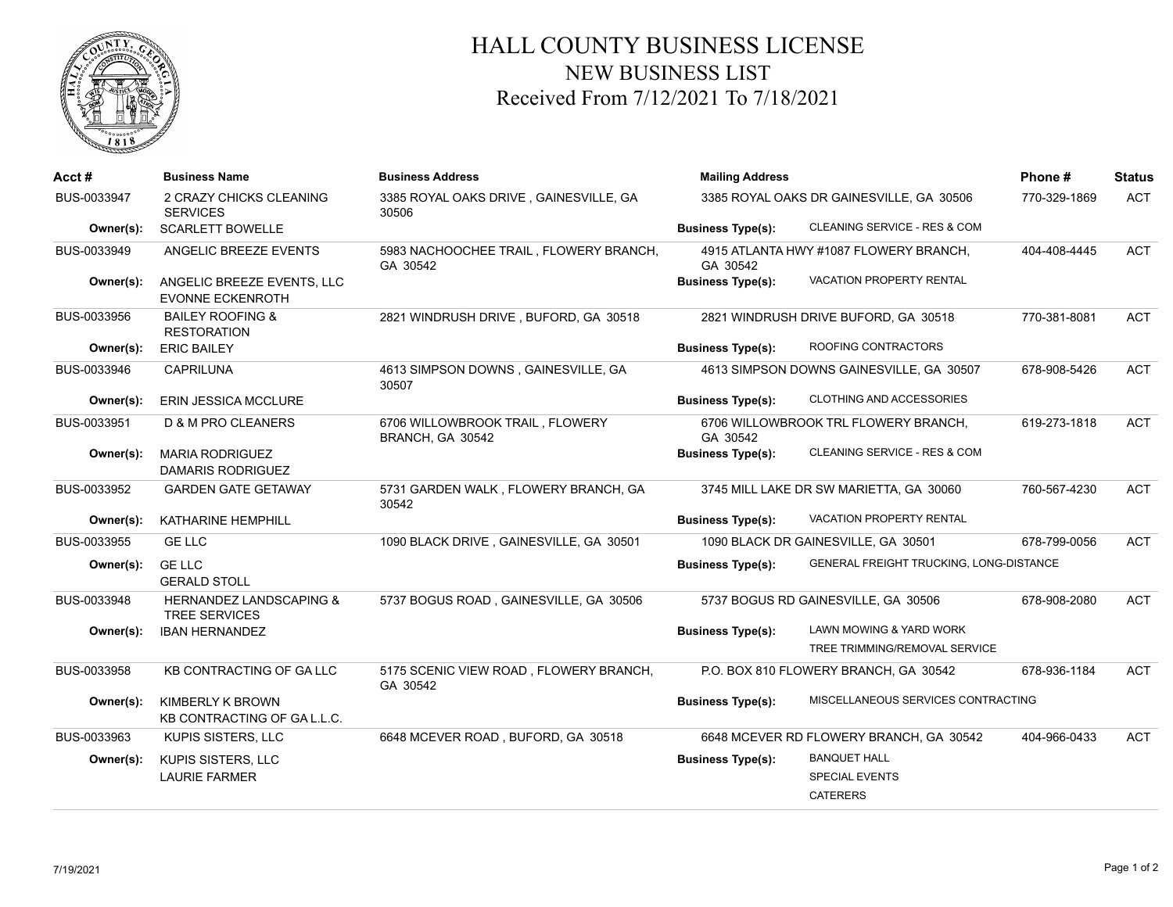

## HALL COUNTY BUSINESS LICENSE NEW BUSINESS LIST Received From 7/12/2021 To 7/18/2021

| Acct#       | <b>Business Name</b>                                   | <b>Business Address</b>                             | <b>Mailing Address</b><br>3385 ROYAL OAKS DR GAINESVILLE, GA 30506 |                                                          | Phone#       | <b>Status</b> |
|-------------|--------------------------------------------------------|-----------------------------------------------------|--------------------------------------------------------------------|----------------------------------------------------------|--------------|---------------|
| BUS-0033947 | 2 CRAZY CHICKS CLEANING<br><b>SERVICES</b>             | 3385 ROYAL OAKS DRIVE, GAINESVILLE, GA<br>30506     |                                                                    |                                                          | 770-329-1869 | <b>ACT</b>    |
| Owner(s):   | <b>SCARLETT BOWELLE</b>                                |                                                     | <b>Business Type(s):</b>                                           | CLEANING SERVICE - RES & COM                             |              |               |
| BUS-0033949 | ANGELIC BREEZE EVENTS                                  | 5983 NACHOOCHEE TRAIL, FLOWERY BRANCH,<br>GA 30542  | 4915 ATLANTA HWY #1087 FLOWERY BRANCH,<br>GA 30542                 |                                                          | 404-408-4445 | <b>ACT</b>    |
| Owner(s):   | ANGELIC BREEZE EVENTS, LLC<br><b>EVONNE ECKENROTH</b>  |                                                     | <b>Business Type(s):</b>                                           | VACATION PROPERTY RENTAL                                 |              |               |
| BUS-0033956 | <b>BAILEY ROOFING &amp;</b><br><b>RESTORATION</b>      | 2821 WINDRUSH DRIVE, BUFORD, GA 30518               | 2821 WINDRUSH DRIVE BUFORD, GA 30518                               |                                                          | 770-381-8081 | <b>ACT</b>    |
| Owner(s):   | <b>ERIC BAILEY</b>                                     |                                                     | <b>Business Type(s):</b>                                           | ROOFING CONTRACTORS                                      |              |               |
| BUS-0033946 | <b>CAPRILUNA</b>                                       | 4613 SIMPSON DOWNS, GAINESVILLE, GA<br>30507        |                                                                    | 4613 SIMPSON DOWNS GAINESVILLE, GA 30507                 | 678-908-5426 | <b>ACT</b>    |
| Owner(s):   | <b>ERIN JESSICA MCCLURE</b>                            |                                                     | <b>Business Type(s):</b>                                           | CLOTHING AND ACCESSORIES                                 |              |               |
| BUS-0033951 | D & M PRO CLEANERS                                     | 6706 WILLOWBROOK TRAIL, FLOWERY<br>BRANCH, GA 30542 | GA 30542                                                           | 6706 WILLOWBROOK TRL FLOWERY BRANCH,                     | 619-273-1818 | <b>ACT</b>    |
| Owner(s):   | <b>MARIA RODRIGUEZ</b><br><b>DAMARIS RODRIGUEZ</b>     |                                                     | <b>Business Type(s):</b>                                           | CLEANING SERVICE - RES & COM                             |              |               |
| BUS-0033952 | <b>GARDEN GATE GETAWAY</b>                             | 5731 GARDEN WALK, FLOWERY BRANCH, GA<br>30542       |                                                                    | 3745 MILL LAKE DR SW MARIETTA, GA 30060                  | 760-567-4230 | ACT           |
| Owner(s):   | KATHARINE HEMPHILL                                     |                                                     | <b>Business Type(s):</b>                                           | VACATION PROPERTY RENTAL                                 |              |               |
| BUS-0033955 | <b>GE LLC</b>                                          | 1090 BLACK DRIVE, GAINESVILLE, GA 30501             |                                                                    | 1090 BLACK DR GAINESVILLE, GA 30501                      | 678-799-0056 | <b>ACT</b>    |
| Owner(s):   | <b>GE LLC</b><br><b>GERALD STOLL</b>                   |                                                     | <b>Business Type(s):</b>                                           | GENERAL FREIGHT TRUCKING, LONG-DISTANCE                  |              |               |
| BUS-0033948 | HERNANDEZ LANDSCAPING &<br><b>TREE SERVICES</b>        | 5737 BOGUS ROAD, GAINESVILLE, GA 30506              | 5737 BOGUS RD GAINESVILLE, GA 30506                                |                                                          | 678-908-2080 | <b>ACT</b>    |
| Owner(s):   | <b>IBAN HERNANDEZ</b>                                  |                                                     | <b>Business Type(s):</b>                                           | LAWN MOWING & YARD WORK<br>TREE TRIMMING/REMOVAL SERVICE |              |               |
| BUS-0033958 | KB CONTRACTING OF GALLC                                | 5175 SCENIC VIEW ROAD, FLOWERY BRANCH,<br>GA 30542  |                                                                    | P.O. BOX 810 FLOWERY BRANCH, GA 30542                    | 678-936-1184 | <b>ACT</b>    |
| Owner(s):   | <b>KIMBERLY K BROWN</b><br>KB CONTRACTING OF GA L.L.C. |                                                     | <b>Business Type(s):</b>                                           | MISCELLANEOUS SERVICES CONTRACTING                       |              |               |
| BUS-0033963 | KUPIS SISTERS, LLC                                     | 6648 MCEVER ROAD, BUFORD, GA 30518                  |                                                                    | 6648 MCEVER RD FLOWERY BRANCH, GA 30542                  | 404-966-0433 | <b>ACT</b>    |
| Owner(s):   | KUPIS SISTERS, LLC                                     |                                                     | <b>Business Type(s):</b>                                           | <b>BANQUET HALL</b>                                      |              |               |
|             | <b>LAURIE FARMER</b>                                   |                                                     |                                                                    | <b>SPECIAL EVENTS</b>                                    |              |               |
|             |                                                        |                                                     |                                                                    | <b>CATERERS</b>                                          |              |               |